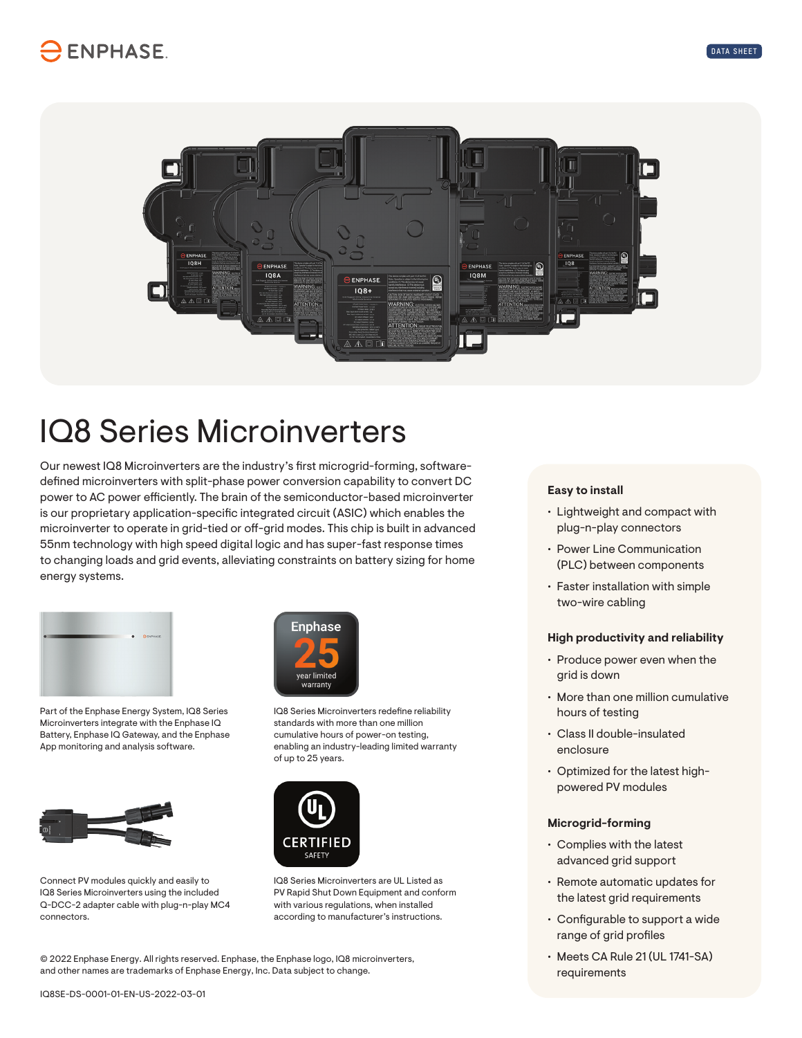

# IQ8 Series Microinverters

Our newest IQ8 Microinverters are the industry's first microgrid-forming, softwaredefined microinverters with split-phase power conversion capability to convert DC power to AC power efficiently. The brain of the semiconductor-based microinverter is our proprietary application-specific integrated circuit (ASIC) which enables the microinverter to operate in grid-tied or off-grid modes. This chip is built in advanced 55nm technology with high speed digital logic and has super-fast response times to changing loads and grid events, alleviating constraints on battery sizing for home energy systems.



Part of the Enphase Energy System, IQ8 Series Microinverters integrate with the Enphase IQ Battery, Enphase IQ Gateway, and the Enphase App monitoring and analysis software.



Connect PV modules quickly and easily to IQ8 Series Microinverters using the included Q-DCC-2 adapter cable with plug-n-play MC4 connectors.



IQ8 Series Microinverters redefine reliability standards with more than one million cumulative hours of power-on testing, enabling an industry-leading limited warranty of up to 25 years.



IQ8 Series Microinverters are UL Listed as PV Rapid Shut Down Equipment and conform with various regulations, when installed according to manufacturer's instructions.

© 2022 Enphase Energy. All rights reserved. Enphase, the Enphase logo, IQ8 microinverters, and other names are trademarks of Enphase Energy, Inc. Data subject to change.

### **Easy to install**

- Lightweight and compact with plug-n-play connectors
- Power Line Communication (PLC) between components
- Faster installation with simple two-wire cabling

#### **High productivity and reliability**

- Produce power even when the grid is down
- More than one million cumulative hours of testing
- Class II double-insulated enclosure
- Optimized for the latest highpowered PV modules

#### **Microgrid-forming**

- Complies with the latest advanced grid support
- Remote automatic updates for the latest grid requirements
- Configurable to support a wide range of grid profiles
- Meets CA Rule 21 (UL 1741-SA) requirements

IQ8SE-DS-0001-01-EN-US-2022-03-01